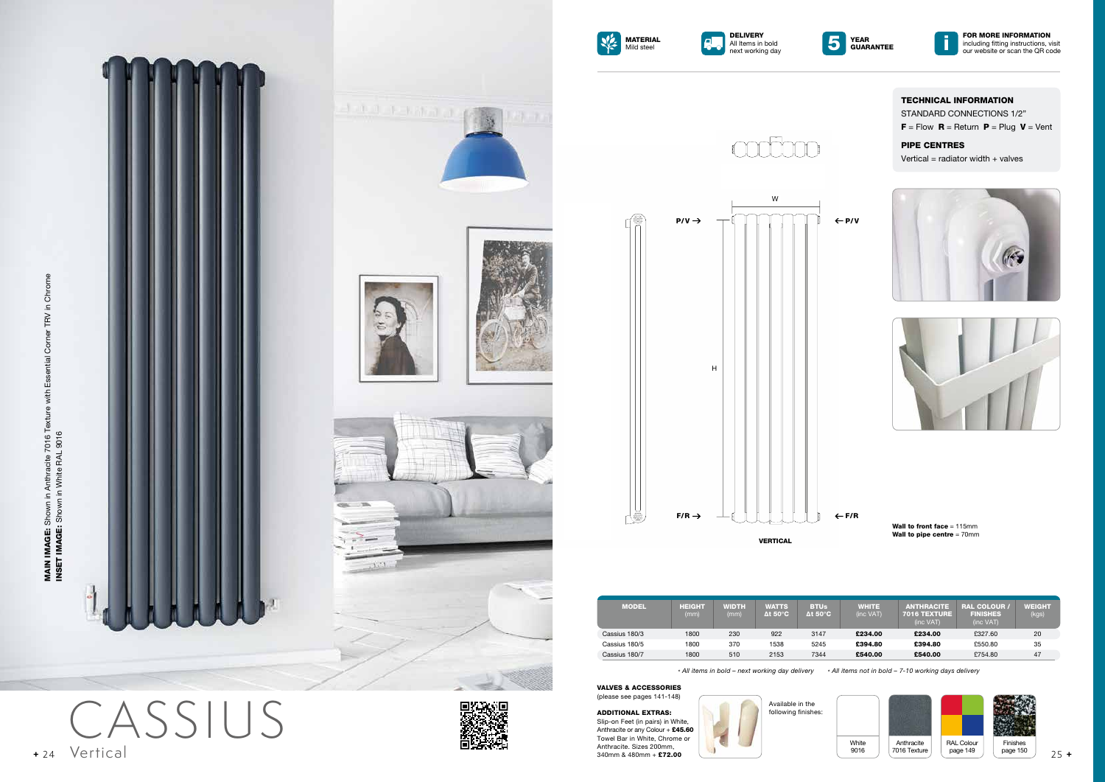STANDARD CONNECTIONS 1/2"  $F =$  Flow  $R =$  Return  $P =$  Plug  $V =$  Vent

# TECHNICAL INFORMATION

### PIPE CENTRES

Vertical = radiator width  $+$  valves





Wall to front face = 115mm Wall to pipe centre = 70mm

MAIN IMAGE: Shown in Anthracite 7016 Texture with Essential Corner TRV in Chrome<br>INSET IMAGE: Shown in White RAL 9016 INSET IMAGE: Shown in White RAL 9016

MAIN IMAGE: Shown in Anthracite 7016 Texture with Essential Corner TRV in Chrome



**DELIVERY** 







*\* All items in bold – next working day delivery \* All items not in bold – 7-10 working days delivery*

ADDITIONAL EXTRAS: Slip-on Feet (in pairs) in White, Anthracite or any Colour + £45.60 Towel Bar in White, Chrome or Anthracite. Sizes 200mm,<br>340mm & 480mm + £72.00











CASSIUS Vertical **+** 24 340mm & 480mm + £72.00 25 **+**



| <b>MODEL</b>  | HEIGHT<br>(mm) | <b>WIDTH</b><br>(mm) | <b>WATTS</b><br>$\Delta t$ 50 $^{\circ}$ C | <b>BTUs</b><br>$\Delta t$ 50 $^{\circ}$ C | <b>WHITE</b><br>(inc VAT) | <b>ANTHRACITE</b><br><b>7016 TEXTURE</b><br>(inc VAT) | <b>RAL COLOUR /</b><br><b>FINISHES</b><br>(inc VAT) | <b>WEIGHT</b><br>(kgs) |
|---------------|----------------|----------------------|--------------------------------------------|-------------------------------------------|---------------------------|-------------------------------------------------------|-----------------------------------------------------|------------------------|
| Cassius 180/3 | 1800           | 230                  | 922                                        | 3147                                      | £234.00                   | £234.00                                               | £327.60                                             | 20                     |
| Cassius 180/5 | 1800           | 370                  | 1538                                       | 5245                                      | £394.80                   | £394.80                                               | £550.80                                             | 35                     |
| Cassius 180/7 | 1800           | 510                  | 2153                                       | 7344                                      | £540.00                   | £540.00                                               | £754.80                                             | 47                     |

Available in the following finishes:

VALVES & ACCESSORIES (please see pages 141-148)